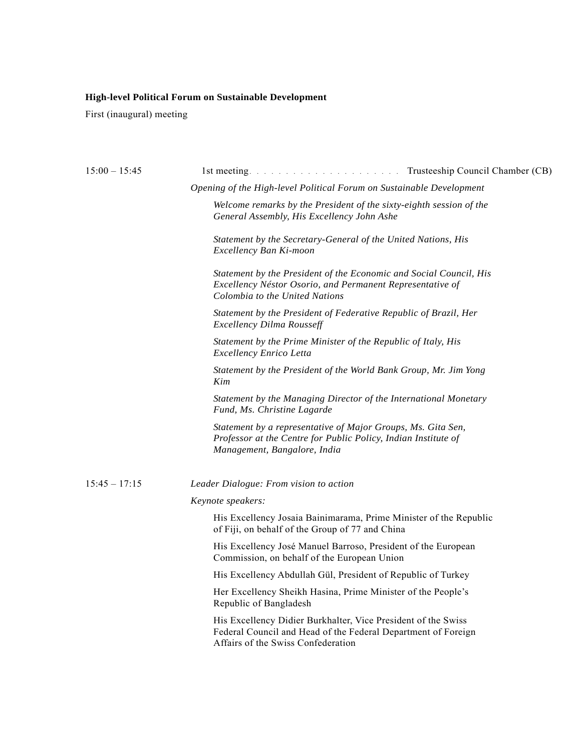# **High-level Political Forum on Sustainable Development**

First (inaugural) meeting

| $15:00 - 15:45$ | $1st$ meeting. $\ldots$ $\ldots$ $\ldots$ $\ldots$ $\ldots$ $\ldots$ $\ldots$ $\ldots$ $\ldots$                                                                      | Trusteeship Council Chamber (CB) |
|-----------------|----------------------------------------------------------------------------------------------------------------------------------------------------------------------|----------------------------------|
|                 | Opening of the High-level Political Forum on Sustainable Development                                                                                                 |                                  |
|                 | Welcome remarks by the President of the sixty-eighth session of the<br>General Assembly, His Excellency John Ashe                                                    |                                  |
|                 | Statement by the Secretary-General of the United Nations, His<br>Excellency Ban Ki-moon                                                                              |                                  |
|                 | Statement by the President of the Economic and Social Council, His<br>Excellency Néstor Osorio, and Permanent Representative of<br>Colombia to the United Nations    |                                  |
|                 | Statement by the President of Federative Republic of Brazil, Her<br><b>Excellency Dilma Rousseff</b>                                                                 |                                  |
|                 | Statement by the Prime Minister of the Republic of Italy, His<br><b>Excellency Enrico Letta</b>                                                                      |                                  |
|                 | Statement by the President of the World Bank Group, Mr. Jim Yong<br>Kim                                                                                              |                                  |
|                 | Statement by the Managing Director of the International Monetary<br>Fund, Ms. Christine Lagarde                                                                      |                                  |
|                 | Statement by a representative of Major Groups, Ms. Gita Sen,<br>Professor at the Centre for Public Policy, Indian Institute of<br>Management, Bangalore, India       |                                  |
| $15:45 - 17:15$ | Leader Dialogue: From vision to action                                                                                                                               |                                  |
|                 | Keynote speakers:                                                                                                                                                    |                                  |
|                 | His Excellency Josaia Bainimarama, Prime Minister of the Republic<br>of Fiji, on behalf of the Group of 77 and China                                                 |                                  |
|                 | His Excellency José Manuel Barroso, President of the European<br>Commission, on behalf of the European Union                                                         |                                  |
|                 | His Excellency Abdullah Gül, President of Republic of Turkey                                                                                                         |                                  |
|                 | Her Excellency Sheikh Hasina, Prime Minister of the People's<br>Republic of Bangladesh                                                                               |                                  |
|                 | His Excellency Didier Burkhalter, Vice President of the Swiss<br>Federal Council and Head of the Federal Department of Foreign<br>Affairs of the Swiss Confederation |                                  |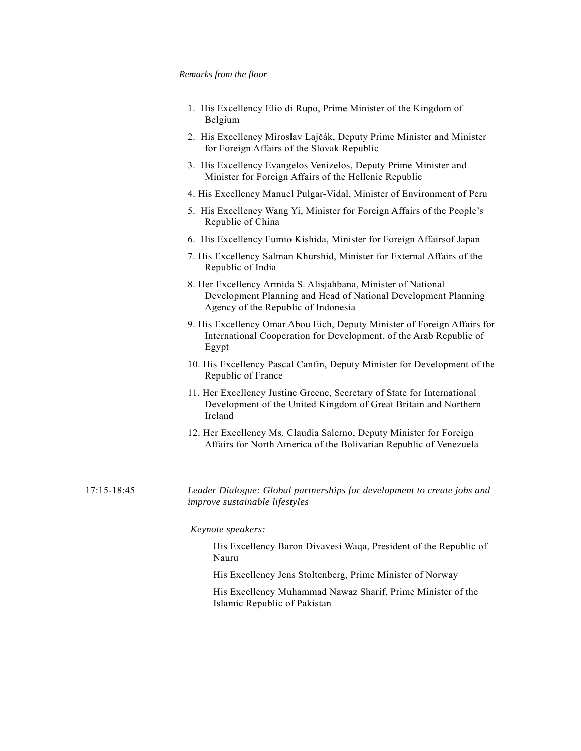#### *Remarks from the floor*

- 1. His Excellency Elio di Rupo, Prime Minister of the Kingdom of Belgium
- 2. His Excellency Miroslav Lajčák, Deputy Prime Minister and Minister for Foreign Affairs of the Slovak Republic
- 3. His Excellency Evangelos Venizelos, Deputy Prime Minister and Minister for Foreign Affairs of the Hellenic Republic
- 4. His Excellency Manuel Pulgar-Vidal, Minister of Environment of Peru
- 5. His Excellency Wang Yi, Minister for Foreign Affairs of the People's Republic of China
- 6. His Excellency Fumio Kishida, Minister for Foreign Affairsof Japan
- 7. His Excellency Salman Khurshid, Minister for External Affairs of the Republic of India
- 8. Her Excellency Armida S. Alisjahbana, Minister of National Development Planning and Head of National Development Planning Agency of the Republic of Indonesia
- 9. His Excellency Omar Abou Eich, Deputy Minister of Foreign Affairs for International Cooperation for Development. of the Arab Republic of Egypt
- 10. His Excellency Pascal Canfin, Deputy Minister for Development of the Republic of France
- 11. Her Excellency Justine Greene, Secretary of State for International Development of the United Kingdom of Great Britain and Northern Ireland
- 12. Her Excellency Ms. Claudia Salerno, Deputy Minister for Foreign Affairs for North America of the Bolivarian Republic of Venezuela
- 17:15-18:45 *Leader Dialogue: Global partnerships for development to create jobs and improve sustainable lifestyles*

#### *Keynote speakers:*

His Excellency Baron Divavesi Waqa, President of the Republic of Nauru

His Excellency Jens Stoltenberg, Prime Minister of Norway

His Excellency Muhammad Nawaz Sharif, Prime Minister of the Islamic Republic of Pakistan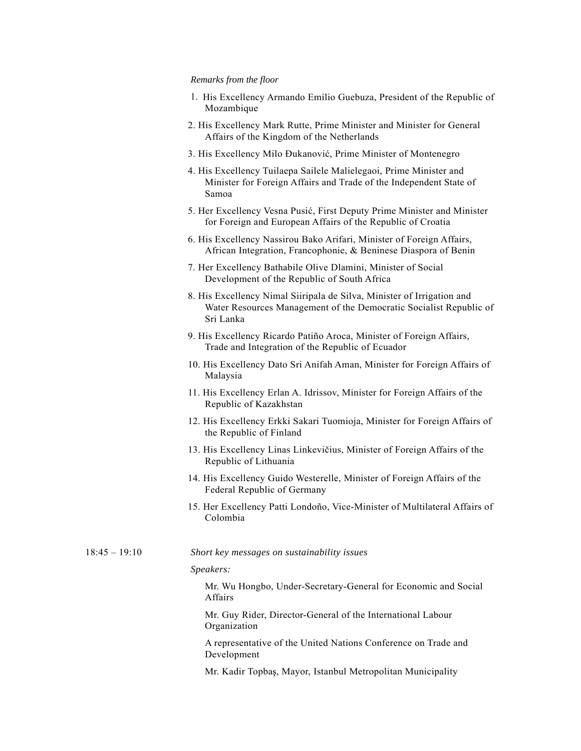#### *Remarks from the floor*

- 1. His Excellency Armando Emílio Guebuza, President of the Republic of Mozambique
- 2. His Excellency Mark Rutte, Prime Minister and Minister for General Affairs of the Kingdom of the Netherlands
- 3. His Excellency Milo Ðukanović, Prime Minister of Montenegro
- 4. His Excellency Tuilaepa Sailele Malielegaoi, Prime Minister and Minister for Foreign Affairs and Trade of the Independent State of Samoa
- 5. Her Excellency Vesna Pusić, First Deputy Prime Minister and Minister for Foreign and European Affairs of the Republic of Croatia
- 6. His Excellency Nassirou Bako Arifari, Minister of Foreign Affairs, African Integration, Francophonie, & Beninese Diaspora of Benin
- 7. Her Excellency Bathabile Olive Dlamini, Minister of Social Development of the Republic of South Africa
- 8. His Excellency Nimal Siiripala de Silva, Minister of Irrigation and Water Resources Management of the Democratic Socialist Republic of Sri Lanka
- 9. His Excellency Ricardo Patiño Aroca, Minister of Foreign Affairs, Trade and Integration of the Republic of Ecuador
- 10. His Excellency Dato Sri Anifah Aman, Minister for Foreign Affairs of Malaysia
- 11. His Excellency Erlan A. Idrissov, Minister for Foreign Affairs of the Republic of Kazakhstan
- 12. His Excellency Erkki Sakari Tuomioja, Minister for Foreign Affairs of the Republic of Finland
- 13. His Excellency Linas Linkevičius, Minister of Foreign Affairs of the Republic of Lithuania
- 14. His Excellency Guido Westerelle, Minister of Foreign Affairs of the Federal Republic of Germany
- 15. Her Excellency Patti Londoño, Vice-Minister of Multilateral Affairs of Colombia

18:45 – 19:10 *Short key messages on sustainability issues* 

#### *Speakers:*

Mr. Wu Hongbo, Under-Secretary-General for Economic and Social Affairs

Mr. Guy Rider, Director-General of the International Labour Organization

 A representative of the United Nations Conference on Trade and Development

Mr. Kadir Topbaş, Mayor, Istanbul Metropolitan Municipality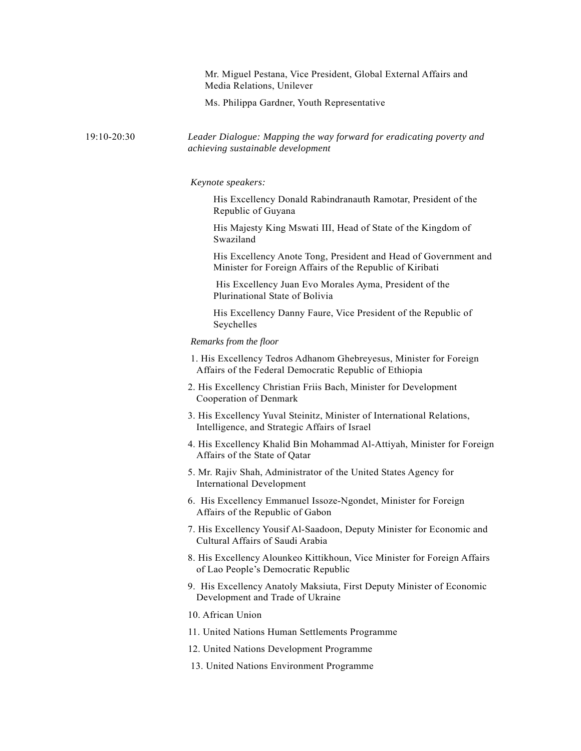Mr. Miguel Pestana, Vice President, Global External Affairs and Media Relations, Unilever

Ms. Philippa Gardner, Youth Representative

## 19:10-20:30 *Leader Dialogue: Mapping the way forward for eradicating poverty and achieving sustainable development*

#### *Keynote speakers:*

 His Excellency Donald Rabindranauth Ramotar, President of the Republic of Guyana

 His Majesty King Mswati III, Head of State of the Kingdom of Swaziland

His Excellency Anote Tong, President and Head of Government and Minister for Foreign Affairs of the Republic of Kiribati

 His Excellency Juan Evo Morales Ayma, President of the Plurinational State of Bolivia

His Excellency Danny Faure, Vice President of the Republic of Seychelles

### *Remarks from the floor*

- 1. His Excellency Tedros Adhanom Ghebreyesus, Minister for Foreign Affairs of the Federal Democratic Republic of Ethiopia
- 2. His Excellency Christian Friis Bach, Minister for Development Cooperation of Denmark
- 3. His Excellency Yuval Steinitz, Minister of International Relations, Intelligence, and Strategic Affairs of Israel
- 4. His Excellency Khalid Bin Mohammad Al-Attiyah, Minister for Foreign Affairs of the State of Qatar
- 5. Mr. Rajiv Shah, Administrator of the United States Agency for International Development
- 6. His Excellency Emmanuel Issoze-Ngondet, Minister for Foreign Affairs of the Republic of Gabon
- 7. His Excellency Yousif Al-Saadoon, Deputy Minister for Economic and Cultural Affairs of Saudi Arabia
- 8. His Excellency Alounkeo Kittikhoun, Vice Minister for Foreign Affairs of Lao People's Democratic Republic
- 9. His Excellency Anatoly Maksiuta, First Deputy Minister of Economic Development and Trade of Ukraine
- 10. African Union
- 11. United Nations Human Settlements Programme
- 12. United Nations Development Programme
- 13. United Nations Environment Programme